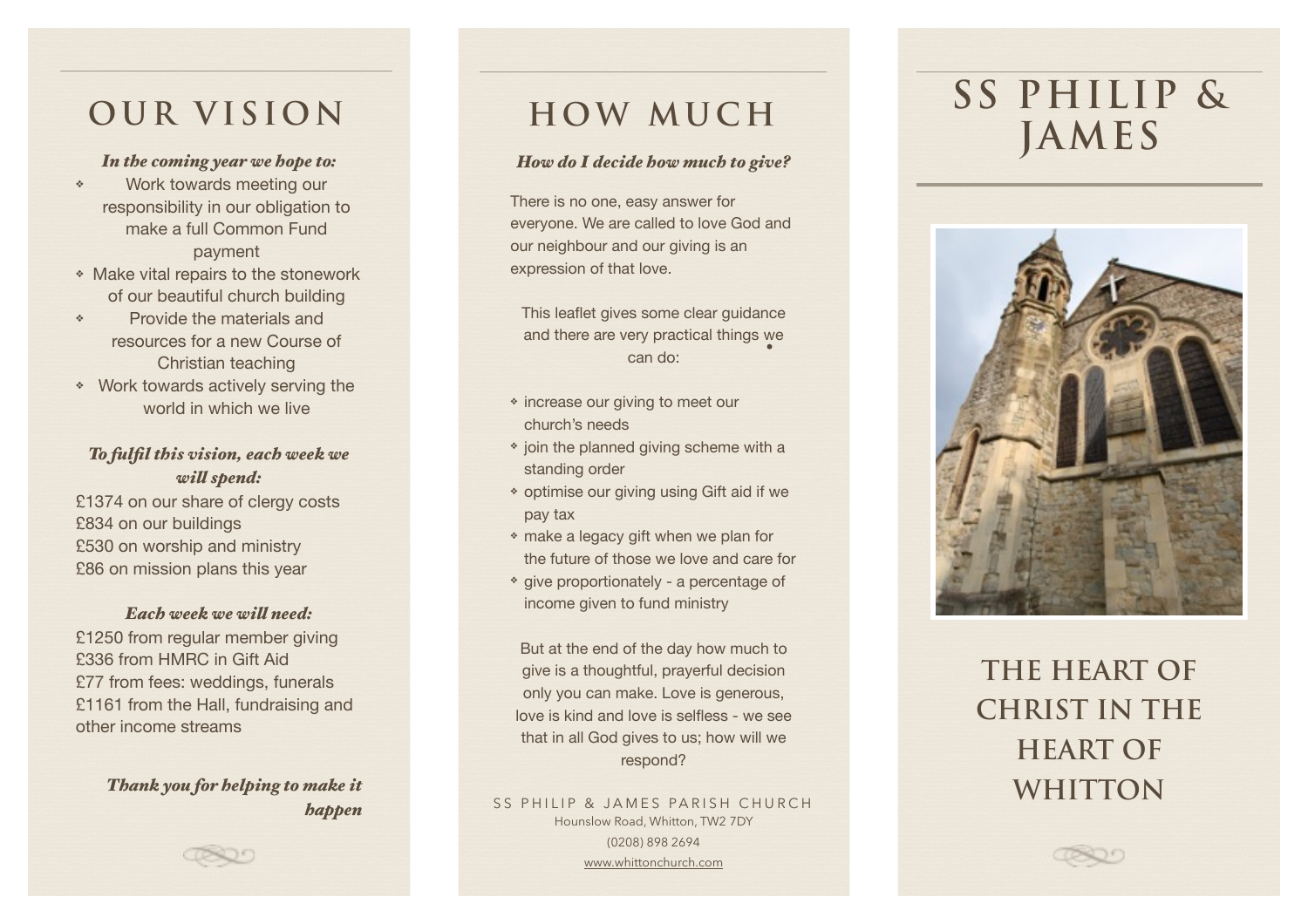## OUR VISION

#### In the coming year we hope to:

- Work towards meeting our  $\hat{q}_{\rm s}$ responsibility in our obligation to make a full Common Fund payment
- \* Make vital repairs to the stonework of our beautiful church building
- Provide the materials and  $\hat{q}_\mathrm{p}$ resources for a new Course of Christian teaching
- \* Work towards actively serving the world in which we live

### To fulfil this vision, each week we will spend: £1374 on our share of clergy costs

£834 on our buildings £530 on worship and ministry £86 on mission plans this year

### Each week we will need:

£1250 from regular member giving £336 from HMRC in Gift Aid £77 from fees: weddings, funerals £1161 from the Hall, fundraising and other income streams

> Thank you for belping to make it **bappen**

### **HOW MUCH**

#### How do I decide how much to give?

There is no one, easy answer for everyone. We are called to love God and our neighbour and our giving is an expression of that love.

This leaflet gives some clear guidance and there are very practical things we can do:

- \* increase our giving to meet our church's needs
- \* join the planned giving scheme with a standing order
- \* optimise our giving using Gift aid if we pay tax
- \* make a legacy gift when we plan for the future of those we love and care for
- \* give proportionately a percentage of income given to fund ministry

But at the end of the day how much to give is a thoughtful, prayerful decision only you can make. Love is generous, love is kind and love is selfless - we see that in all God gives to us; how will we respond?

SS PHILIP & JAMES PARISH CHURCH Hounslow Road, Whitton, TW2 7DY (0208) 898 2694 www.whittonchurch.com

# SS PHILIP & JAMES



# **THE HEART OF CHRIST IN THE HEART OF WHITTON**